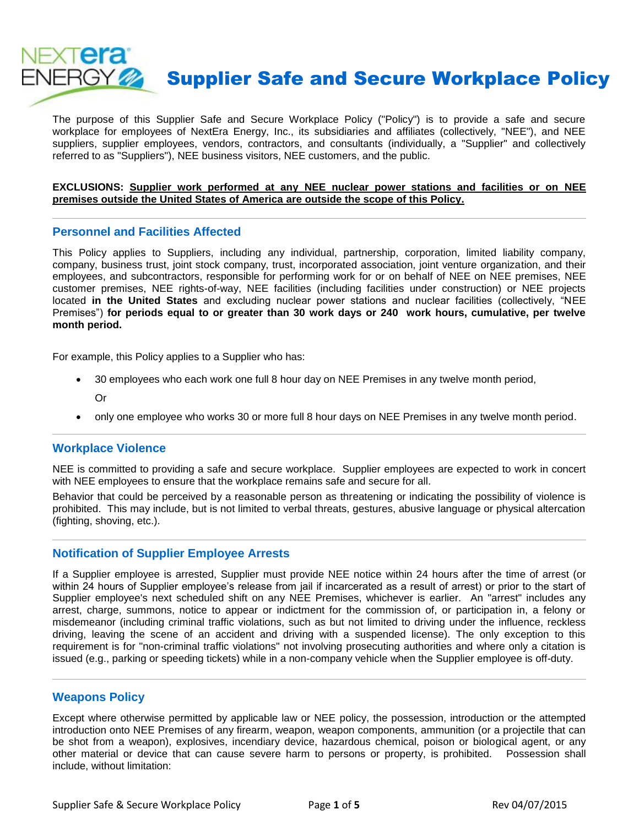

The purpose of this Supplier Safe and Secure Workplace Policy ("Policy") is to provide a safe and secure workplace for employees of NextEra Energy, Inc., its subsidiaries and affiliates (collectively, "NEE"), and NEE suppliers, supplier employees, vendors, contractors, and consultants (individually, a "Supplier" and collectively referred to as "Suppliers"), NEE business visitors, NEE customers, and the public.

#### **EXCLUSIONS: Supplier work performed at any NEE nuclear power stations and facilities or on NEE premises outside the United States of America are outside the scope of this Policy.**

### **Personnel and Facilities Affected**

This Policy applies to Suppliers, including any individual, partnership, corporation, limited liability company, company, business trust, joint stock company, trust, incorporated association, joint venture organization, and their employees, and subcontractors, responsible for performing work for or on behalf of NEE on NEE premises, NEE customer premises, NEE rights-of-way, NEE facilities (including facilities under construction) or NEE projects located **in the United States** and excluding nuclear power stations and nuclear facilities (collectively, "NEE Premises") **for periods equal to or greater than 30 work days or 240 work hours, cumulative, per twelve month period.**

For example, this Policy applies to a Supplier who has:

- 30 employees who each work one full 8 hour day on NEE Premises in any twelve month period, Or
- only one employee who works 30 or more full 8 hour days on NEE Premises in any twelve month period.

#### **Workplace Violence**

NEE is committed to providing a safe and secure workplace. Supplier employees are expected to work in concert with NEE employees to ensure that the workplace remains safe and secure for all.

Behavior that could be perceived by a reasonable person as threatening or indicating the possibility of violence is prohibited. This may include, but is not limited to verbal threats, gestures, abusive language or physical altercation (fighting, shoving, etc.).

#### **Notification of Supplier Employee Arrests**

If a Supplier employee is arrested, Supplier must provide NEE notice within 24 hours after the time of arrest (or within 24 hours of Supplier employee's release from jail if incarcerated as a result of arrest) or prior to the start of Supplier employee's next scheduled shift on any NEE Premises, whichever is earlier. An "arrest" includes any arrest, charge, summons, notice to appear or indictment for the commission of, or participation in, a felony or misdemeanor (including criminal traffic violations, such as but not limited to driving under the influence, reckless driving, leaving the scene of an accident and driving with a suspended license). The only exception to this requirement is for "non-criminal traffic violations" not involving prosecuting authorities and where only a citation is issued (e.g., parking or speeding tickets) while in a non-company vehicle when the Supplier employee is off-duty.

## **Weapons Policy**

Except where otherwise permitted by applicable law or NEE policy, the possession, introduction or the attempted introduction onto NEE Premises of any firearm, weapon, weapon components, ammunition (or a projectile that can be shot from a weapon), explosives, incendiary device, hazardous chemical, poison or biological agent, or any other material or device that can cause severe harm to persons or property, is prohibited. Possession shall include, without limitation: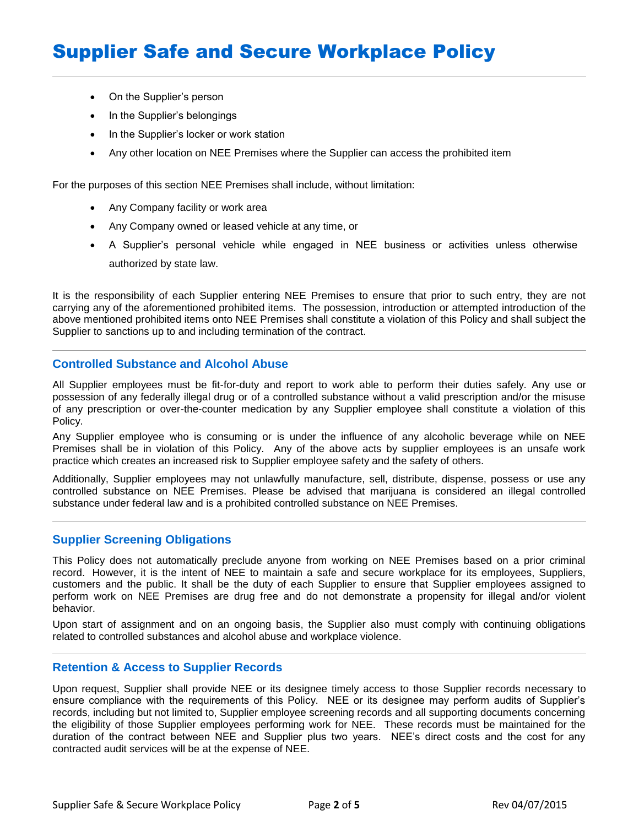- On the Supplier's person
- In the Supplier's belongings
- In the Supplier's locker or work station
- Any other location on NEE Premises where the Supplier can access the prohibited item

For the purposes of this section NEE Premises shall include, without limitation:

- Any Company facility or work area
- Any Company owned or leased vehicle at any time, or
- A Supplier's personal vehicle while engaged in NEE business or activities unless otherwise authorized by state law.

It is the responsibility of each Supplier entering NEE Premises to ensure that prior to such entry, they are not carrying any of the aforementioned prohibited items. The possession, introduction or attempted introduction of the above mentioned prohibited items onto NEE Premises shall constitute a violation of this Policy and shall subject the Supplier to sanctions up to and including termination of the contract.

## **Controlled Substance and Alcohol Abuse**

All Supplier employees must be fit-for-duty and report to work able to perform their duties safely. Any use or possession of any federally illegal drug or of a controlled substance without a valid prescription and/or the misuse of any prescription or over-the-counter medication by any Supplier employee shall constitute a violation of this Policy.

Any Supplier employee who is consuming or is under the influence of any alcoholic beverage while on NEE Premises shall be in violation of this Policy. Any of the above acts by supplier employees is an unsafe work practice which creates an increased risk to Supplier employee safety and the safety of others.

Additionally, Supplier employees may not unlawfully manufacture, sell, distribute, dispense, possess or use any controlled substance on NEE Premises. Please be advised that marijuana is considered an illegal controlled substance under federal law and is a prohibited controlled substance on NEE Premises.

## **Supplier Screening Obligations**

This Policy does not automatically preclude anyone from working on NEE Premises based on a prior criminal record. However, it is the intent of NEE to maintain a safe and secure workplace for its employees, Suppliers, customers and the public. It shall be the duty of each Supplier to ensure that Supplier employees assigned to perform work on NEE Premises are drug free and do not demonstrate a propensity for illegal and/or violent behavior.

Upon start of assignment and on an ongoing basis, the Supplier also must comply with continuing obligations related to controlled substances and alcohol abuse and workplace violence.

## **Retention & Access to Supplier Records**

Upon request, Supplier shall provide NEE or its designee timely access to those Supplier records necessary to ensure compliance with the requirements of this Policy. NEE or its designee may perform audits of Supplier's records, including but not limited to, Supplier employee screening records and all supporting documents concerning the eligibility of those Supplier employees performing work for NEE. These records must be maintained for the duration of the contract between NEE and Supplier plus two years. NEE's direct costs and the cost for any contracted audit services will be at the expense of NEE.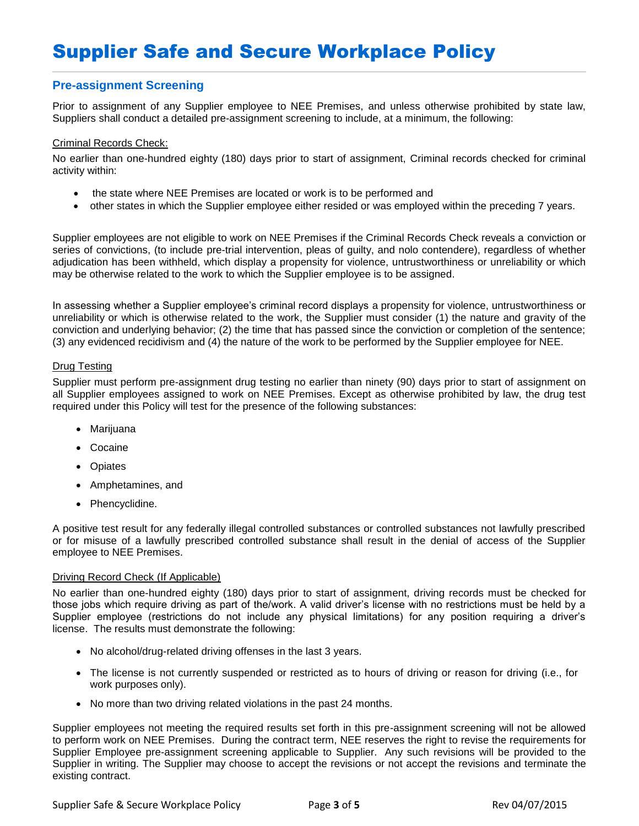## **Pre-assignment Screening**

Prior to assignment of any Supplier employee to NEE Premises, and unless otherwise prohibited by state law, Suppliers shall conduct a detailed pre-assignment screening to include, at a minimum, the following:

#### Criminal Records Check:

No earlier than one-hundred eighty (180) days prior to start of assignment, Criminal records checked for criminal activity within:

- the state where NEE Premises are located or work is to be performed and
- other states in which the Supplier employee either resided or was employed within the preceding 7 years.

Supplier employees are not eligible to work on NEE Premises if the Criminal Records Check reveals a conviction or series of convictions, (to include pre-trial intervention, pleas of guilty, and nolo contendere), regardless of whether adjudication has been withheld, which display a propensity for violence, untrustworthiness or unreliability or which may be otherwise related to the work to which the Supplier employee is to be assigned.

In assessing whether a Supplier employee's criminal record displays a propensity for violence, untrustworthiness or unreliability or which is otherwise related to the work, the Supplier must consider (1) the nature and gravity of the conviction and underlying behavior; (2) the time that has passed since the conviction or completion of the sentence; (3) any evidenced recidivism and (4) the nature of the work to be performed by the Supplier employee for NEE.

#### Drug Testing

Supplier must perform pre-assignment drug testing no earlier than ninety (90) days prior to start of assignment on all Supplier employees assigned to work on NEE Premises. Except as otherwise prohibited by law, the drug test required under this Policy will test for the presence of the following substances:

- Marijuana
- Cocaine
- Opiates
- Amphetamines, and
- Phencyclidine.

A positive test result for any federally illegal controlled substances or controlled substances not lawfully prescribed or for misuse of a lawfully prescribed controlled substance shall result in the denial of access of the Supplier employee to NEE Premises.

#### Driving Record Check (If Applicable)

No earlier than one-hundred eighty (180) days prior to start of assignment, driving records must be checked for those jobs which require driving as part of the/work. A valid driver's license with no restrictions must be held by a Supplier employee (restrictions do not include any physical limitations) for any position requiring a driver's license. The results must demonstrate the following:

- No alcohol/drug-related driving offenses in the last 3 years.
- The license is not currently suspended or restricted as to hours of driving or reason for driving (i.e., for work purposes only).
- No more than two driving related violations in the past 24 months.

Supplier employees not meeting the required results set forth in this pre-assignment screening will not be allowed to perform work on NEE Premises. During the contract term, NEE reserves the right to revise the requirements for Supplier Employee pre-assignment screening applicable to Supplier. Any such revisions will be provided to the Supplier in writing. The Supplier may choose to accept the revisions or not accept the revisions and terminate the existing contract.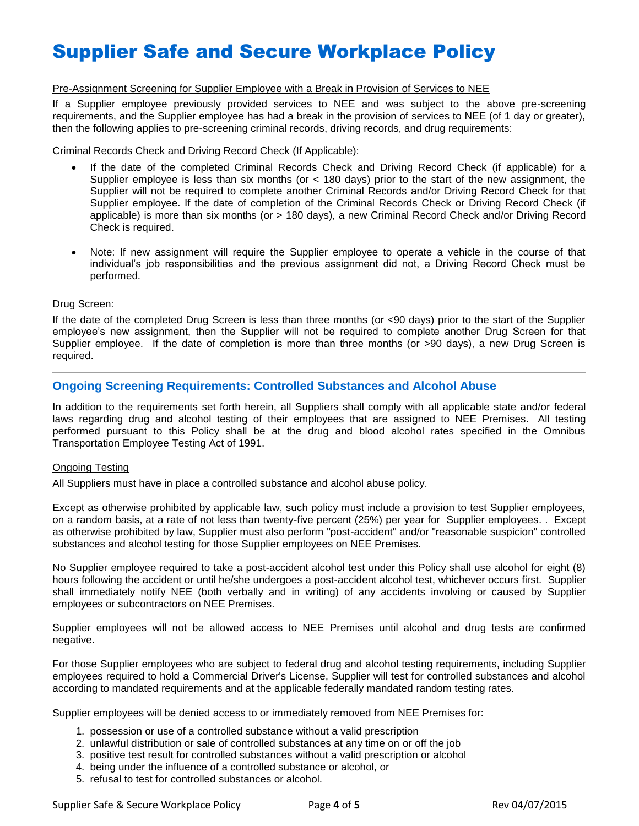# Supplier Safe and Secure Workplace Policy

#### Pre-Assignment Screening for Supplier Employee with a Break in Provision of Services to NEE

If a Supplier employee previously provided services to NEE and was subject to the above pre-screening requirements, and the Supplier employee has had a break in the provision of services to NEE (of 1 day or greater), then the following applies to pre-screening criminal records, driving records, and drug requirements:

Criminal Records Check and Driving Record Check (If Applicable):

- If the date of the completed Criminal Records Check and Driving Record Check (if applicable) for a Supplier employee is less than six months (or  $<$  180 days) prior to the start of the new assignment, the Supplier will not be required to complete another Criminal Records and/or Driving Record Check for that Supplier employee. If the date of completion of the Criminal Records Check or Driving Record Check (if applicable) is more than six months (or > 180 days), a new Criminal Record Check and/or Driving Record Check is required.
- Note: If new assignment will require the Supplier employee to operate a vehicle in the course of that individual's job responsibilities and the previous assignment did not, a Driving Record Check must be performed.

#### Drug Screen:

If the date of the completed Drug Screen is less than three months (or <90 days) prior to the start of the Supplier employee's new assignment, then the Supplier will not be required to complete another Drug Screen for that Supplier employee. If the date of completion is more than three months (or >90 days), a new Drug Screen is required.

## **Ongoing Screening Requirements: Controlled Substances and Alcohol Abuse**

In addition to the requirements set forth herein, all Suppliers shall comply with all applicable state and/or federal laws regarding drug and alcohol testing of their employees that are assigned to NEE Premises. All testing performed pursuant to this Policy shall be at the drug and blood alcohol rates specified in the Omnibus Transportation Employee Testing Act of 1991.

#### Ongoing Testing

All Suppliers must have in place a controlled substance and alcohol abuse policy.

Except as otherwise prohibited by applicable law, such policy must include a provision to test Supplier employees, on a random basis, at a rate of not less than twenty-five percent (25%) per year for Supplier employees. . Except as otherwise prohibited by law, Supplier must also perform "post-accident" and/or "reasonable suspicion" controlled substances and alcohol testing for those Supplier employees on NEE Premises.

No Supplier employee required to take a post-accident alcohol test under this Policy shall use alcohol for eight (8) hours following the accident or until he/she undergoes a post-accident alcohol test, whichever occurs first. Supplier shall immediately notify NEE (both verbally and in writing) of any accidents involving or caused by Supplier employees or subcontractors on NEE Premises.

Supplier employees will not be allowed access to NEE Premises until alcohol and drug tests are confirmed negative.

For those Supplier employees who are subject to federal drug and alcohol testing requirements, including Supplier employees required to hold a Commercial Driver's License, Supplier will test for controlled substances and alcohol according to mandated requirements and at the applicable federally mandated random testing rates.

Supplier employees will be denied access to or immediately removed from NEE Premises for:

- 1. possession or use of a controlled substance without a valid prescription
- 2. unlawful distribution or sale of controlled substances at any time on or off the job
- 3. positive test result for controlled substances without a valid prescription or alcohol
- 4. being under the influence of a controlled substance or alcohol, or
- 5. refusal to test for controlled substances or alcohol.